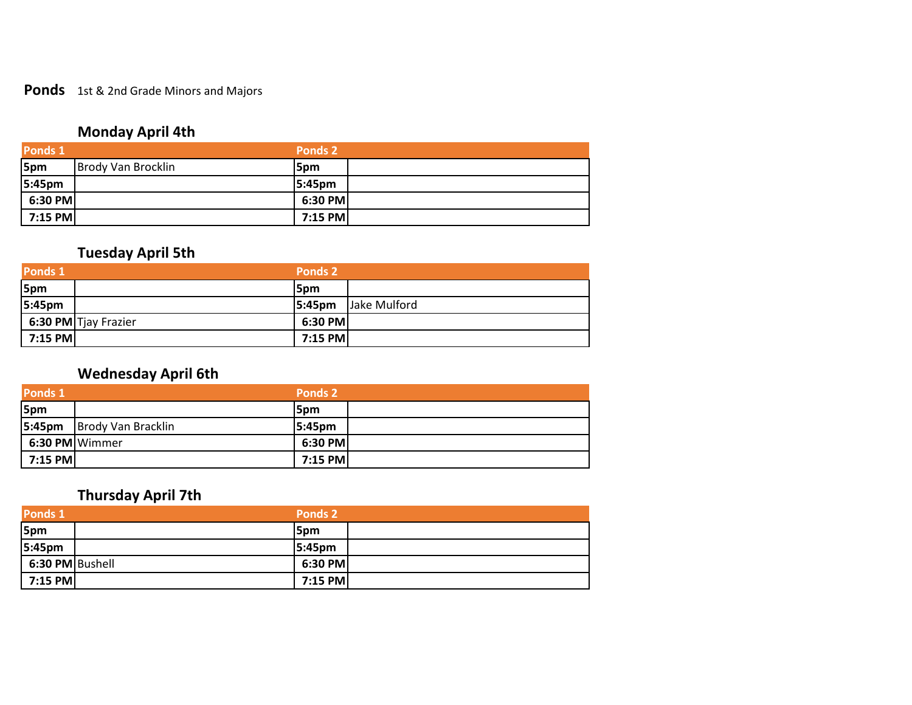#### **Ponds** 1st & 2nd Grade Minors and Majors

### **Monday April 4th**

| Ponds 1 |                           | Ponds 2    |
|---------|---------------------------|------------|
| 5pm     | <b>Brody Van Brocklin</b> | 5pm        |
| 5:45pm  |                           | $ 5:45$ pm |
| 6:30 PM |                           | 6:30 PM    |
| 7:15 PM |                           | 7:15 PM    |

### **Tuesday April 5th**

| Ponds 1    |                                    | Ponds 2   |              |
|------------|------------------------------------|-----------|--------------|
| 5pm        |                                    | 5pm       |              |
| 5:45pm     |                                    | 5:45pm    | Jake Mulford |
|            | $\frac{1}{2}$ 6:30 PM Tjay Frazier | 6:30 PM   |              |
| $ 7:15$ PM |                                    | $7:15$ PM |              |

## **Wednesday April 6th**

| <b>Ponds 1</b> |                    | Ponds 2    |  |
|----------------|--------------------|------------|--|
| 5pm            |                    | 5pm        |  |
| 5:45pm         | Brody Van Bracklin | $ 5:45$ pm |  |
| 6:30 PM Wimmer |                    | 6:30 PM    |  |
| 7:15 PM        |                    | $7:15$ PM  |  |

### **Thursday April 7th**

| <b>Ponds 1</b>  | <b>Ponds 2</b> |
|-----------------|----------------|
| 5pm             | 5pm            |
| 5:45pm          | 5:45pm         |
| 6:30 PM Bushell | $6:30$ PM      |
| 7:15 PM         | 7:15 PM        |